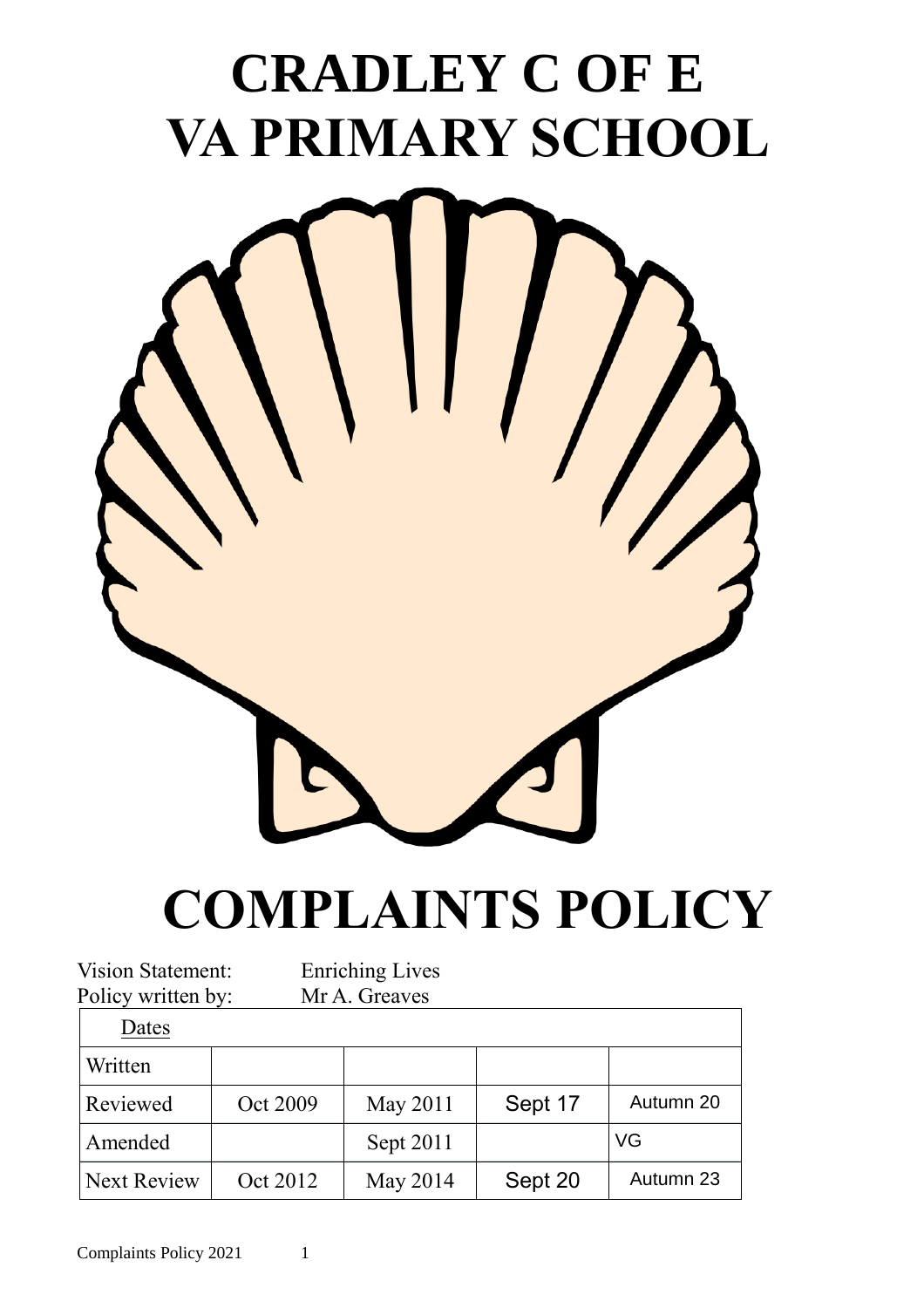## **CRADLEY C OF E VA PRIMARY SCHOOL**



# **COMPLAINTS POLICY**

| <b>Vision Statement:</b> |          | <b>Enriching Lives</b> |         |           |  |
|--------------------------|----------|------------------------|---------|-----------|--|
| Policy written by:       |          | Mr A. Greaves          |         |           |  |
| Dates                    |          |                        |         |           |  |
| Written                  |          |                        |         |           |  |
| <b>Reviewed</b>          | Oct 2009 | May 2011               | Sept 17 | Autumn 20 |  |
| Amended                  |          | Sept 2011              |         | VG        |  |
| Next Review              | Oct 2012 | May 2014               | Sept 20 | Autumn 23 |  |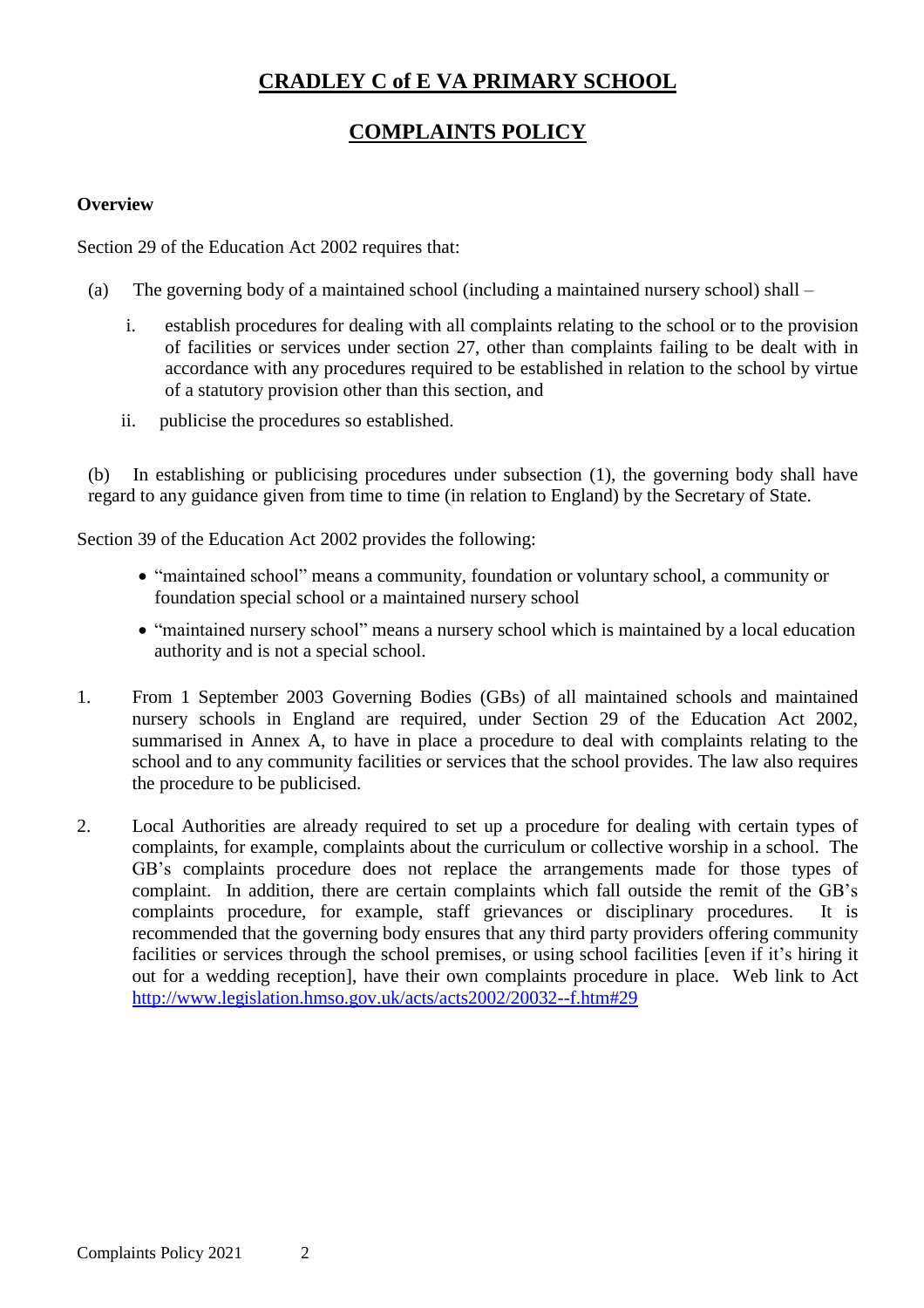## **CRADLEY C of E VA PRIMARY SCHOOL**

## **COMPLAINTS POLICY**

#### **Overview**

Section 29 of the Education Act 2002 requires that:

- (a) The governing body of a maintained school (including a maintained nursery school) shall
	- i. establish procedures for dealing with all complaints relating to the school or to the provision of facilities or services under section 27, other than complaints failing to be dealt with in accordance with any procedures required to be established in relation to the school by virtue of a statutory provision other than this section, and
	- ii. publicise the procedures so established.

In establishing or publicising procedures under subsection  $(1)$ , the governing body shall have regard to any guidance given from time to time (in relation to England) by the Secretary of State.

Section 39 of the Education Act 2002 provides the following:

- "maintained school" means a community, foundation or voluntary school, a community or foundation special school or a maintained nursery school
- "maintained nursery school" means a nursery school which is maintained by a local education authority and is not a special school.
- 1. From 1 September 2003 Governing Bodies (GBs) of all maintained schools and maintained nursery schools in England are required, under Section 29 of the Education Act 2002, summarised in Annex A, to have in place a procedure to deal with complaints relating to the school and to any community facilities or services that the school provides. The law also requires the procedure to be publicised.
- 2. Local Authorities are already required to set up a procedure for dealing with certain types of complaints, for example, complaints about the curriculum or collective worship in a school. The GB's complaints procedure does not replace the arrangements made for those types of complaint. In addition, there are certain complaints which fall outside the remit of the GB's complaints procedure, for example, staff grievances or disciplinary procedures. It is recommended that the governing body ensures that any third party providers offering community facilities or services through the school premises, or using school facilities [even if it's hiring it out for a wedding reception], have their own complaints procedure in place. Web link to Act [http://www.legislation.hmso.gov.uk/acts/acts2002/20032--f.htm#29](http://www.legislation.hmso.gov.uk/acts/acts2002/20032--f.htm%2329)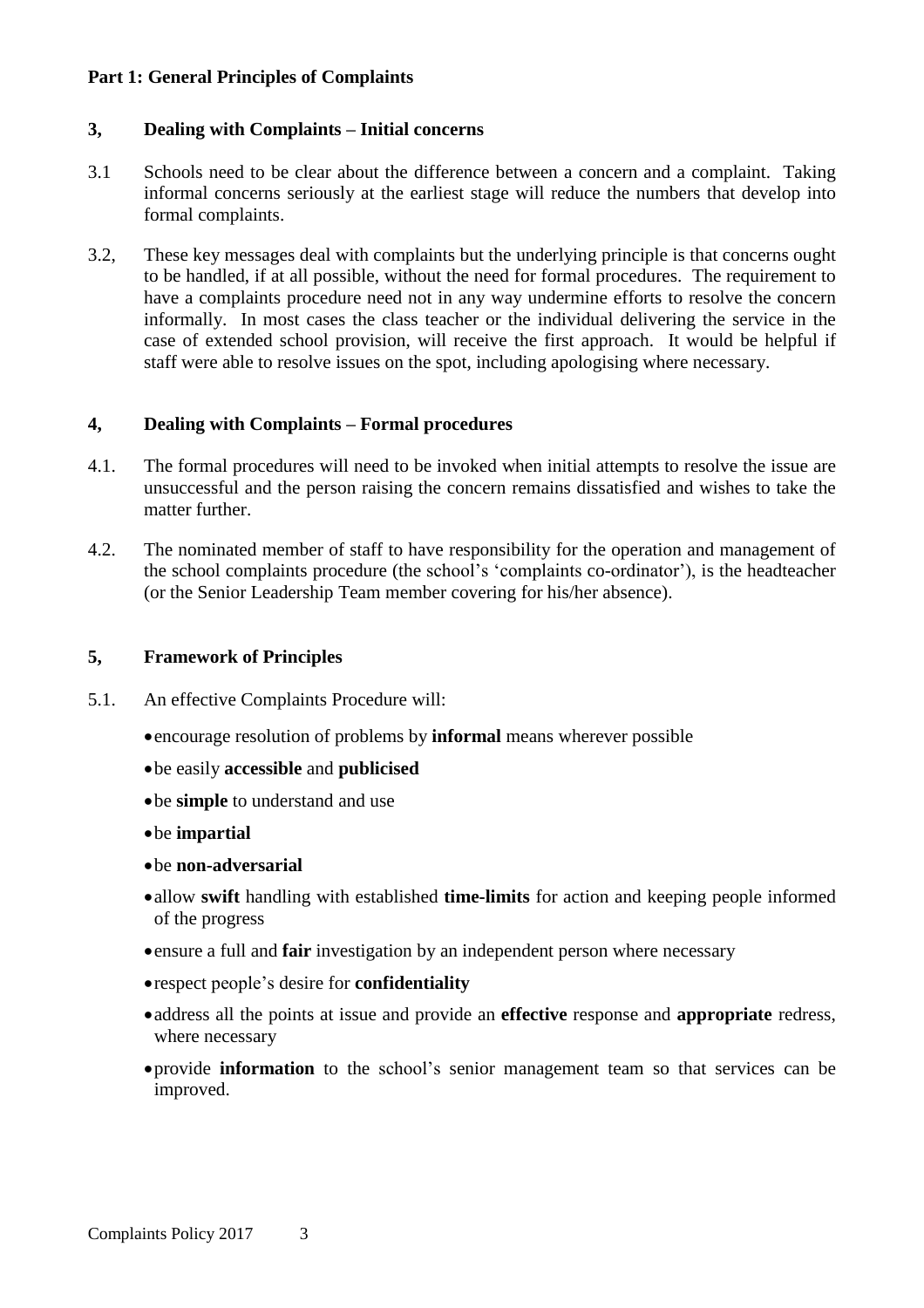#### **Part 1: General Principles of Complaints**

#### **3, Dealing with Complaints – Initial concerns**

- 3.1 Schools need to be clear about the difference between a concern and a complaint. Taking informal concerns seriously at the earliest stage will reduce the numbers that develop into formal complaints.
- 3.2, These key messages deal with complaints but the underlying principle is that concerns ought to be handled, if at all possible, without the need for formal procedures. The requirement to have a complaints procedure need not in any way undermine efforts to resolve the concern informally. In most cases the class teacher or the individual delivering the service in the case of extended school provision, will receive the first approach. It would be helpful if staff were able to resolve issues on the spot, including apologising where necessary.

#### **4, Dealing with Complaints – Formal procedures**

- 4.1. The formal procedures will need to be invoked when initial attempts to resolve the issue are unsuccessful and the person raising the concern remains dissatisfied and wishes to take the matter further.
- 4.2. The nominated member of staff to have responsibility for the operation and management of the school complaints procedure (the school's 'complaints co-ordinator'), is the headteacher (or the Senior Leadership Team member covering for his/her absence).

#### **5, Framework of Principles**

- 5.1. An effective Complaints Procedure will:
	- encourage resolution of problems by **informal** means wherever possible
	- be easily **accessible** and **publicised**
	- be **simple** to understand and use
	- be **impartial**
	- be **non-adversarial**
	- allow **swift** handling with established **time-limits** for action and keeping people informed of the progress
	- ensure a full and **fair** investigation by an independent person where necessary
	- respect people's desire for **confidentiality**
	- address all the points at issue and provide an **effective** response and **appropriate** redress, where necessary
	- provide **information** to the school's senior management team so that services can be improved.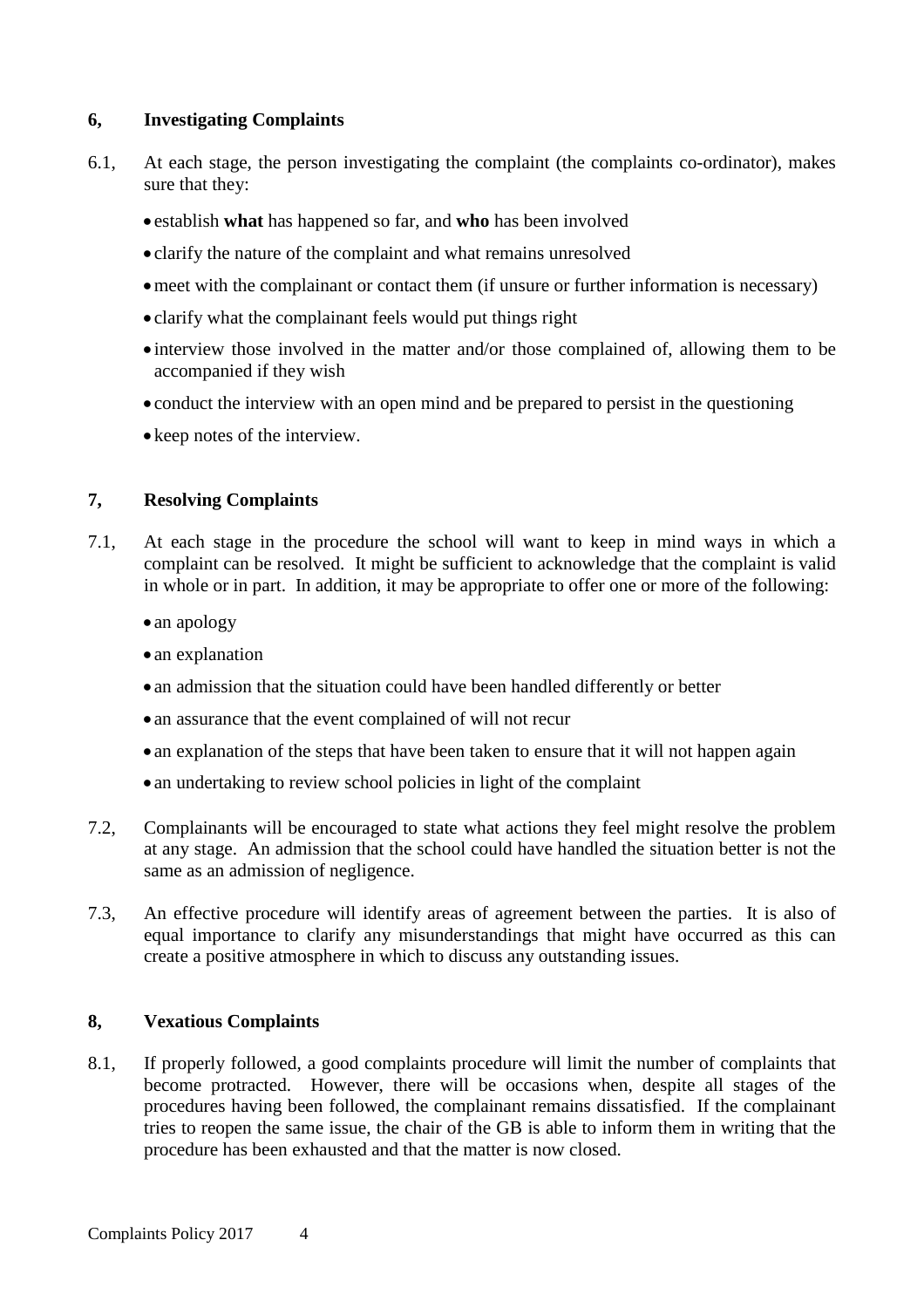#### **6, Investigating Complaints**

- 6.1, At each stage, the person investigating the complaint (the complaints co-ordinator), makes sure that they:
	- establish **what** has happened so far, and **who** has been involved
	- clarify the nature of the complaint and what remains unresolved
	- meet with the complainant or contact them (if unsure or further information is necessary)
	- clarify what the complainant feels would put things right
	- interview those involved in the matter and/or those complained of, allowing them to be accompanied if they wish
	- conduct the interview with an open mind and be prepared to persist in the questioning
	- keep notes of the interview.

#### **7, Resolving Complaints**

- 7.1, At each stage in the procedure the school will want to keep in mind ways in which a complaint can be resolved. It might be sufficient to acknowledge that the complaint is valid in whole or in part. In addition, it may be appropriate to offer one or more of the following:
	- an apology
	- an explanation
	- an admission that the situation could have been handled differently or better
	- an assurance that the event complained of will not recur
	- an explanation of the steps that have been taken to ensure that it will not happen again
	- an undertaking to review school policies in light of the complaint
- 7.2, Complainants will be encouraged to state what actions they feel might resolve the problem at any stage. An admission that the school could have handled the situation better is not the same as an admission of negligence.
- 7.3, An effective procedure will identify areas of agreement between the parties. It is also of equal importance to clarify any misunderstandings that might have occurred as this can create a positive atmosphere in which to discuss any outstanding issues.

#### **8, Vexatious Complaints**

8.1, If properly followed, a good complaints procedure will limit the number of complaints that become protracted. However, there will be occasions when, despite all stages of the procedures having been followed, the complainant remains dissatisfied. If the complainant tries to reopen the same issue, the chair of the GB is able to inform them in writing that the procedure has been exhausted and that the matter is now closed.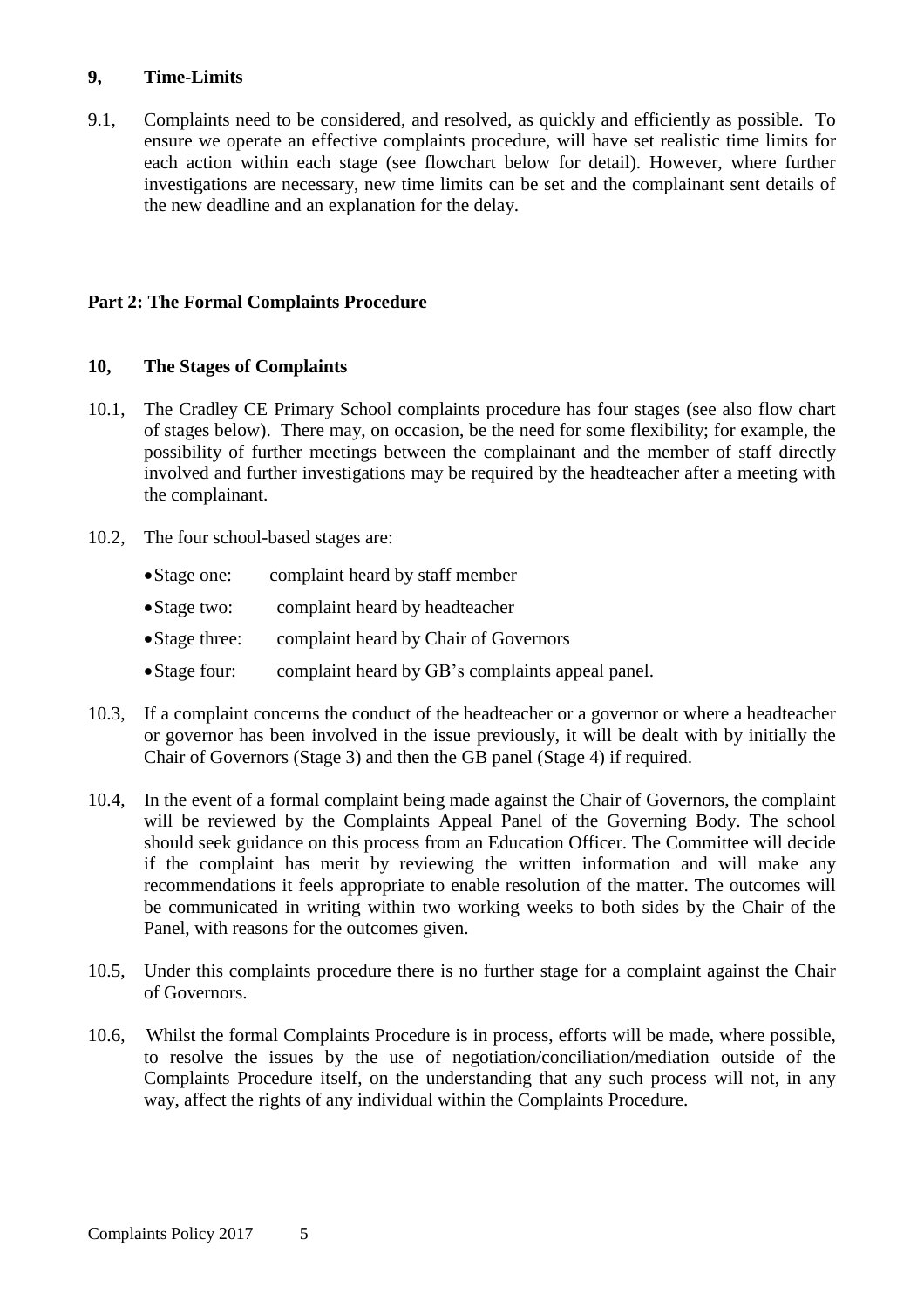#### **9, Time-Limits**

9.1, Complaints need to be considered, and resolved, as quickly and efficiently as possible. To ensure we operate an effective complaints procedure, will have set realistic time limits for each action within each stage (see flowchart below for detail). However, where further investigations are necessary, new time limits can be set and the complainant sent details of the new deadline and an explanation for the delay.

#### **Part 2: The Formal Complaints Procedure**

#### **10, The Stages of Complaints**

- 10.1, The Cradley CE Primary School complaints procedure has four stages (see also flow chart of stages below). There may, on occasion, be the need for some flexibility; for example, the possibility of further meetings between the complainant and the member of staff directly involved and further investigations may be required by the headteacher after a meeting with the complainant.
- 10.2, The four school-based stages are:
	- Stage one: complaint heard by staff member
	- Stage two: complaint heard by headteacher
	- Stage three: complaint heard by Chair of Governors
	- Stage four: complaint heard by GB's complaints appeal panel.
- 10.3, If a complaint concerns the conduct of the headteacher or a governor or where a headteacher or governor has been involved in the issue previously, it will be dealt with by initially the Chair of Governors (Stage 3) and then the GB panel (Stage 4) if required.
- 10.4, In the event of a formal complaint being made against the Chair of Governors, the complaint will be reviewed by the Complaints Appeal Panel of the Governing Body. The school should seek guidance on this process from an Education Officer. The Committee will decide if the complaint has merit by reviewing the written information and will make any recommendations it feels appropriate to enable resolution of the matter. The outcomes will be communicated in writing within two working weeks to both sides by the Chair of the Panel, with reasons for the outcomes given.
- 10.5, Under this complaints procedure there is no further stage for a complaint against the Chair of Governors.
- 10.6, Whilst the formal Complaints Procedure is in process, efforts will be made, where possible, to resolve the issues by the use of negotiation/conciliation/mediation outside of the Complaints Procedure itself, on the understanding that any such process will not, in any way, affect the rights of any individual within the Complaints Procedure.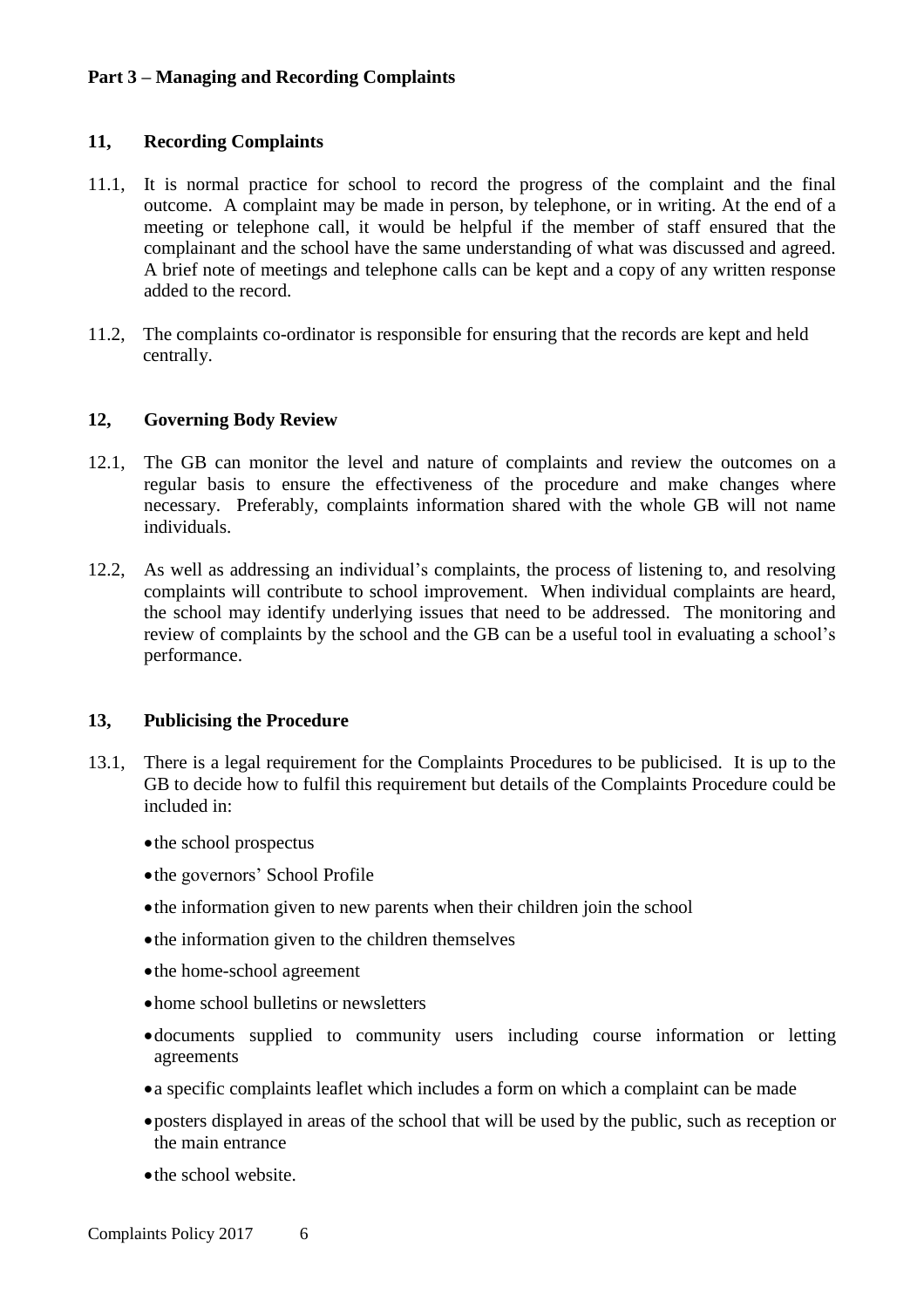#### **Part 3 – Managing and Recording Complaints**

#### **11, Recording Complaints**

- 11.1, It is normal practice for school to record the progress of the complaint and the final outcome. A complaint may be made in person, by telephone, or in writing. At the end of a meeting or telephone call, it would be helpful if the member of staff ensured that the complainant and the school have the same understanding of what was discussed and agreed. A brief note of meetings and telephone calls can be kept and a copy of any written response added to the record.
- 11.2, The complaints co-ordinator is responsible for ensuring that the records are kept and held centrally.

#### **12, Governing Body Review**

- 12.1, The GB can monitor the level and nature of complaints and review the outcomes on a regular basis to ensure the effectiveness of the procedure and make changes where necessary. Preferably, complaints information shared with the whole GB will not name individuals.
- 12.2, As well as addressing an individual's complaints, the process of listening to, and resolving complaints will contribute to school improvement. When individual complaints are heard, the school may identify underlying issues that need to be addressed. The monitoring and review of complaints by the school and the GB can be a useful tool in evaluating a school's performance.

#### **13, Publicising the Procedure**

- 13.1, There is a legal requirement for the Complaints Procedures to be publicised. It is up to the GB to decide how to fulfil this requirement but details of the Complaints Procedure could be included in:
	- the school prospectus
	- the governors' School Profile
	- the information given to new parents when their children join the school
	- the information given to the children themselves
	- the home-school agreement
	- home school bulletins or newsletters
	- documents supplied to community users including course information or letting agreements
	- a specific complaints leaflet which includes a form on which a complaint can be made
	- posters displayed in areas of the school that will be used by the public, such as reception or the main entrance
	- the school website.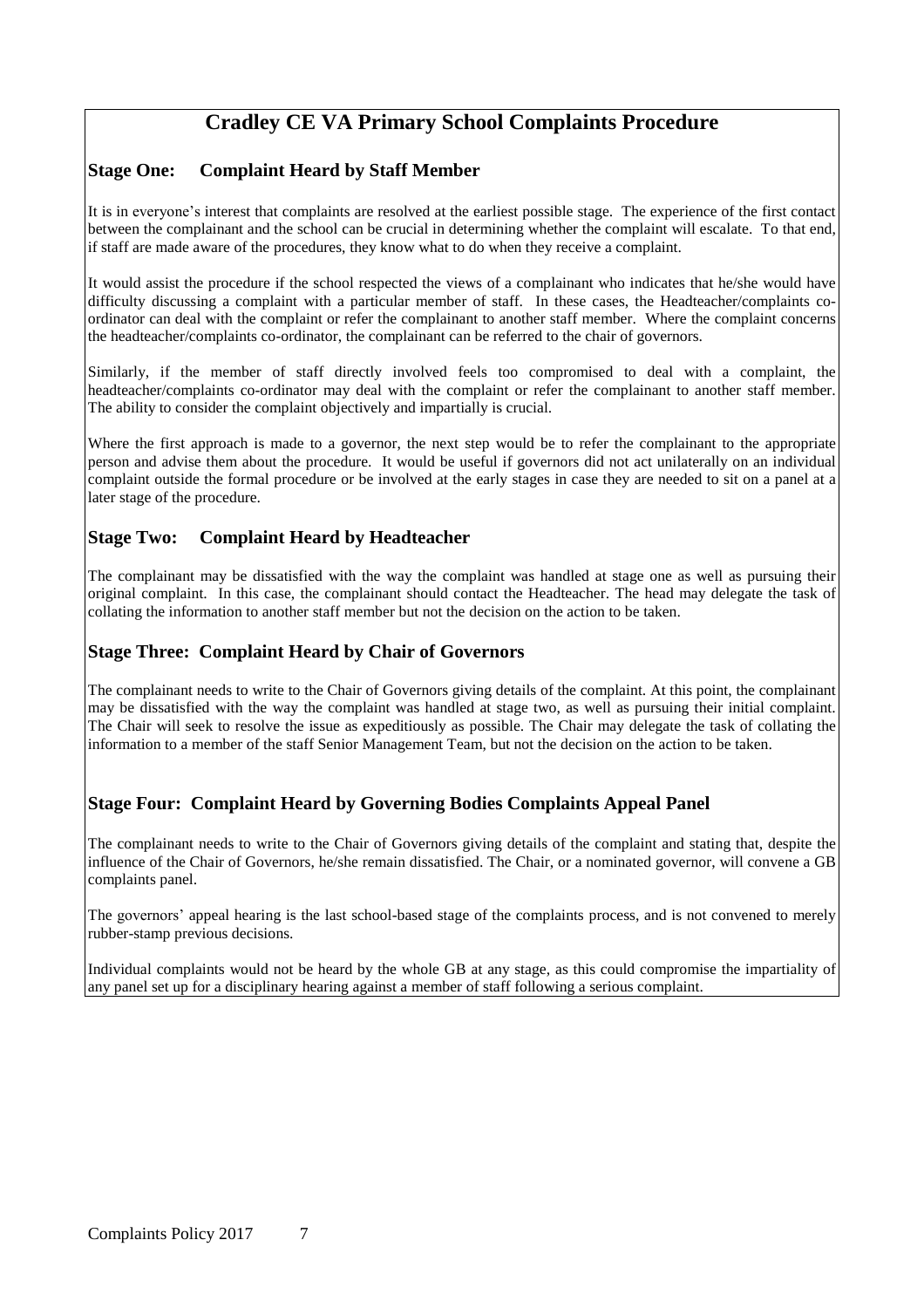## **Cradley CE VA Primary School Complaints Procedure**

#### **Stage One: Complaint Heard by Staff Member**

It is in everyone's interest that complaints are resolved at the earliest possible stage. The experience of the first contact between the complainant and the school can be crucial in determining whether the complaint will escalate. To that end, if staff are made aware of the procedures, they know what to do when they receive a complaint.

It would assist the procedure if the school respected the views of a complainant who indicates that he/she would have difficulty discussing a complaint with a particular member of staff. In these cases, the Headteacher/complaints coordinator can deal with the complaint or refer the complainant to another staff member. Where the complaint concerns the headteacher/complaints co-ordinator, the complainant can be referred to the chair of governors.

Similarly, if the member of staff directly involved feels too compromised to deal with a complaint, the headteacher/complaints co-ordinator may deal with the complaint or refer the complainant to another staff member. The ability to consider the complaint objectively and impartially is crucial.

Where the first approach is made to a governor, the next step would be to refer the complainant to the appropriate person and advise them about the procedure. It would be useful if governors did not act unilaterally on an individual complaint outside the formal procedure or be involved at the early stages in case they are needed to sit on a panel at a later stage of the procedure.

#### **Stage Two: Complaint Heard by Headteacher**

The complainant may be dissatisfied with the way the complaint was handled at stage one as well as pursuing their original complaint. In this case, the complainant should contact the Headteacher. The head may delegate the task of collating the information to another staff member but not the decision on the action to be taken.

#### **Stage Three: Complaint Heard by Chair of Governors**

The complainant needs to write to the Chair of Governors giving details of the complaint. At this point, the complainant may be dissatisfied with the way the complaint was handled at stage two, as well as pursuing their initial complaint. The Chair will seek to resolve the issue as expeditiously as possible. The Chair may delegate the task of collating the information to a member of the staff Senior Management Team, but not the decision on the action to be taken.

#### **Stage Four: Complaint Heard by Governing Bodies Complaints Appeal Panel**

The complainant needs to write to the Chair of Governors giving details of the complaint and stating that, despite the influence of the Chair of Governors, he/she remain dissatisfied. The Chair, or a nominated governor, will convene a GB complaints panel.

The governors' appeal hearing is the last school-based stage of the complaints process, and is not convened to merely rubber-stamp previous decisions.

Individual complaints would not be heard by the whole GB at any stage, as this could compromise the impartiality of any panel set up for a disciplinary hearing against a member of staff following a serious complaint.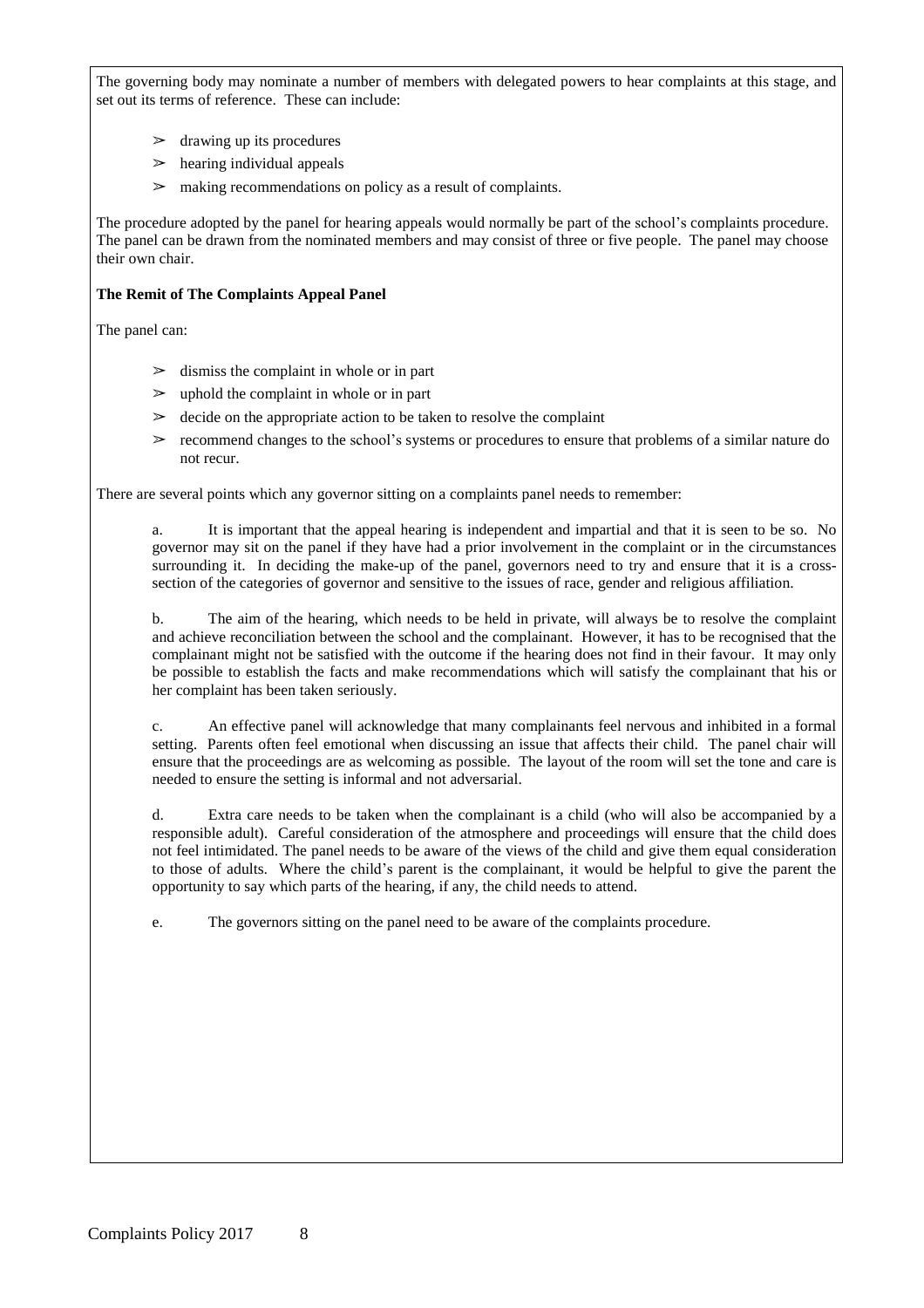The governing body may nominate a number of members with delegated powers to hear complaints at this stage, and set out its terms of reference. These can include:

- $\geq$  drawing up its procedures
- $\geq$  hearing individual appeals
- making recommendations on policy as a result of complaints.

The procedure adopted by the panel for hearing appeals would normally be part of the school's complaints procedure. The panel can be drawn from the nominated members and may consist of three or five people. The panel may choose their own chair.

#### **The Remit of The Complaints Appeal Panel**

The panel can:

- $\geq$  dismiss the complaint in whole or in part
- $\geq$  uphold the complaint in whole or in part
- $\geq$  decide on the appropriate action to be taken to resolve the complaint
- $\geq$  recommend changes to the school's systems or procedures to ensure that problems of a similar nature do not recur.

There are several points which any governor sitting on a complaints panel needs to remember:

a. It is important that the appeal hearing is independent and impartial and that it is seen to be so. No governor may sit on the panel if they have had a prior involvement in the complaint or in the circumstances surrounding it. In deciding the make-up of the panel, governors need to try and ensure that it is a crosssection of the categories of governor and sensitive to the issues of race, gender and religious affiliation.

b. The aim of the hearing, which needs to be held in private, will always be to resolve the complaint and achieve reconciliation between the school and the complainant. However, it has to be recognised that the complainant might not be satisfied with the outcome if the hearing does not find in their favour. It may only be possible to establish the facts and make recommendations which will satisfy the complainant that his or her complaint has been taken seriously.

c. An effective panel will acknowledge that many complainants feel nervous and inhibited in a formal setting. Parents often feel emotional when discussing an issue that affects their child. The panel chair will ensure that the proceedings are as welcoming as possible. The layout of the room will set the tone and care is needed to ensure the setting is informal and not adversarial.

d. Extra care needs to be taken when the complainant is a child (who will also be accompanied by a responsible adult). Careful consideration of the atmosphere and proceedings will ensure that the child does not feel intimidated. The panel needs to be aware of the views of the child and give them equal consideration to those of adults. Where the child's parent is the complainant, it would be helpful to give the parent the opportunity to say which parts of the hearing, if any, the child needs to attend.

e. The governors sitting on the panel need to be aware of the complaints procedure.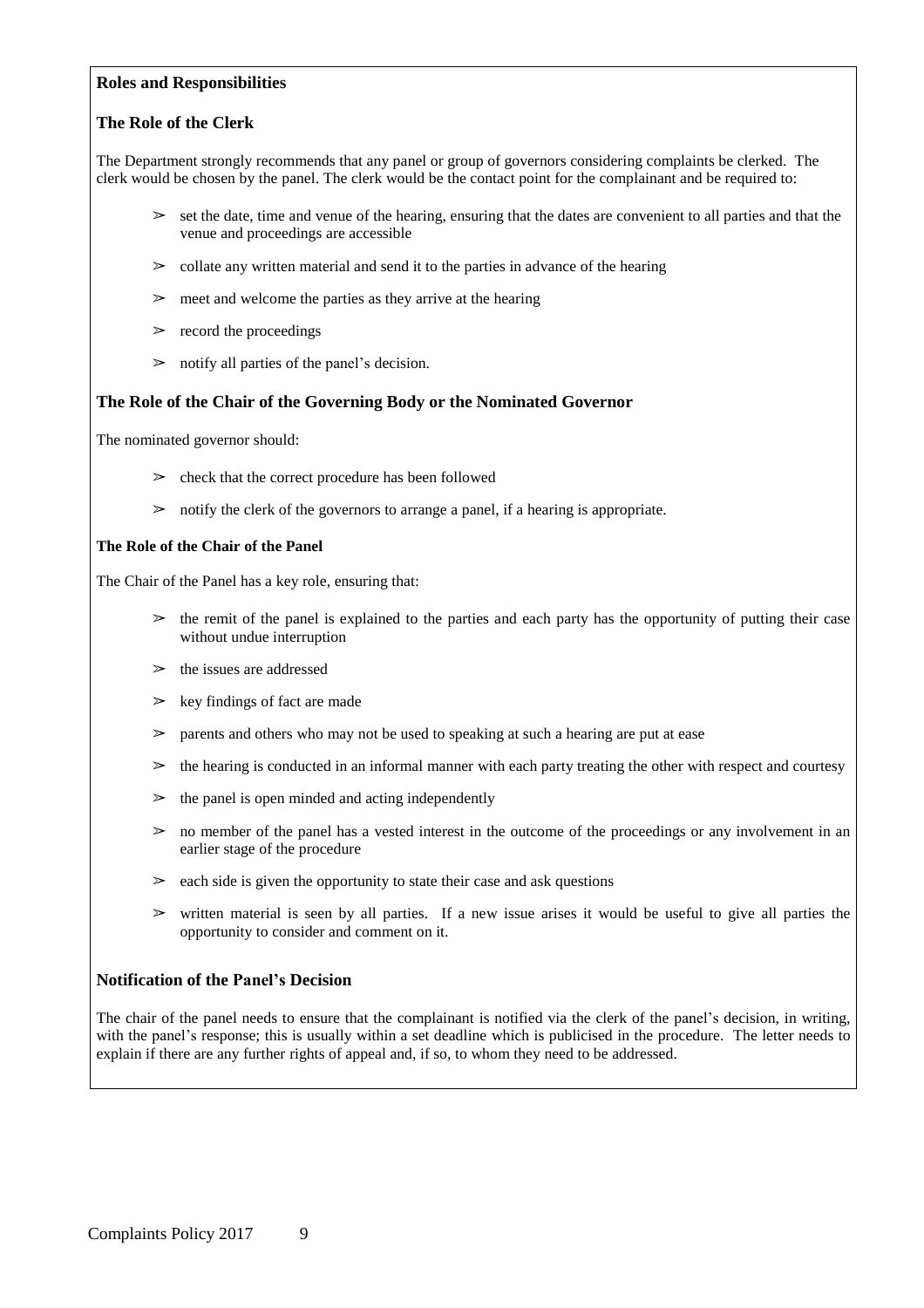#### **Roles and Responsibilities**

#### **The Role of the Clerk**

The Department strongly recommends that any panel or group of governors considering complaints be clerked. The clerk would be chosen by the panel. The clerk would be the contact point for the complainant and be required to:

- $\geq$  set the date, time and venue of the hearing, ensuring that the dates are convenient to all parties and that the venue and proceedings are accessible
- $\geq$  collate any written material and send it to the parties in advance of the hearing
- $\geq$  meet and welcome the parties as they arrive at the hearing
- $\triangleright$  record the proceedings
- $\geq$  notify all parties of the panel's decision.

#### **The Role of the Chair of the Governing Body or the Nominated Governor**

The nominated governor should:

- $\geq$  check that the correct procedure has been followed
- $\geq$  notify the clerk of the governors to arrange a panel, if a hearing is appropriate.

#### **The Role of the Chair of the Panel**

The Chair of the Panel has a key role, ensuring that:

- $\geq$  the remit of the panel is explained to the parties and each party has the opportunity of putting their case without undue interruption
- $\geq$  the issues are addressed
- $\geq$  key findings of fact are made
- $\geq$  parents and others who may not be used to speaking at such a hearing are put at ease
- $\geq$  the hearing is conducted in an informal manner with each party treating the other with respect and courtesy
- $\geq$  the panel is open minded and acting independently
- $\geq$  no member of the panel has a vested interest in the outcome of the proceedings or any involvement in an earlier stage of the procedure
- $\geq$  each side is given the opportunity to state their case and ask questions
- $\triangleright$  written material is seen by all parties. If a new issue arises it would be useful to give all parties the opportunity to consider and comment on it.

#### **Notification of the Panel's Decision**

The chair of the panel needs to ensure that the complainant is notified via the clerk of the panel's decision, in writing, with the panel's response; this is usually within a set deadline which is publicised in the procedure. The letter needs to explain if there are any further rights of appeal and, if so, to whom they need to be addressed.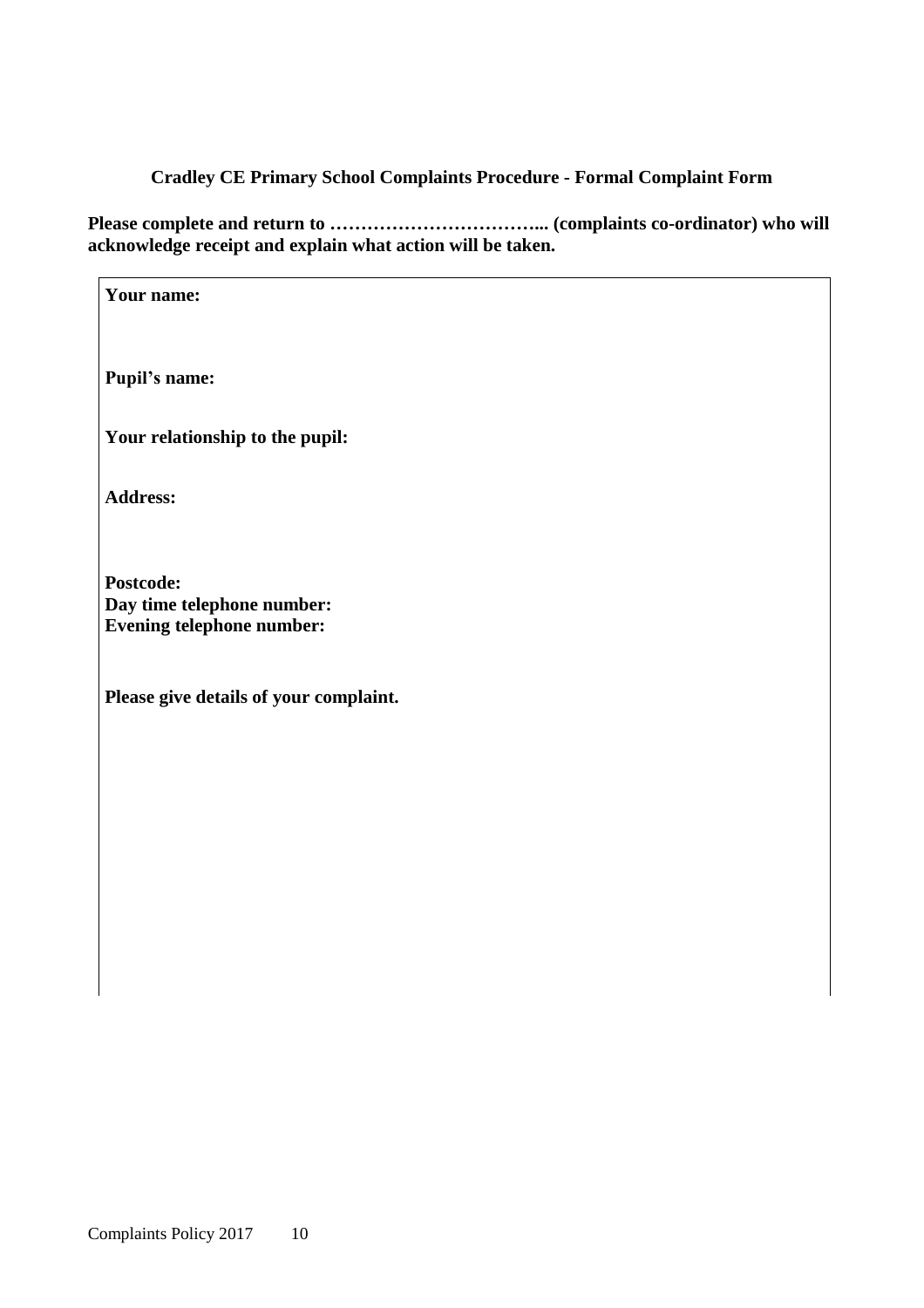#### **Cradley CE Primary School Complaints Procedure - Formal Complaint Form**

**Please complete and return to ……………………………... (complaints co-ordinator) who will acknowledge receipt and explain what action will be taken.**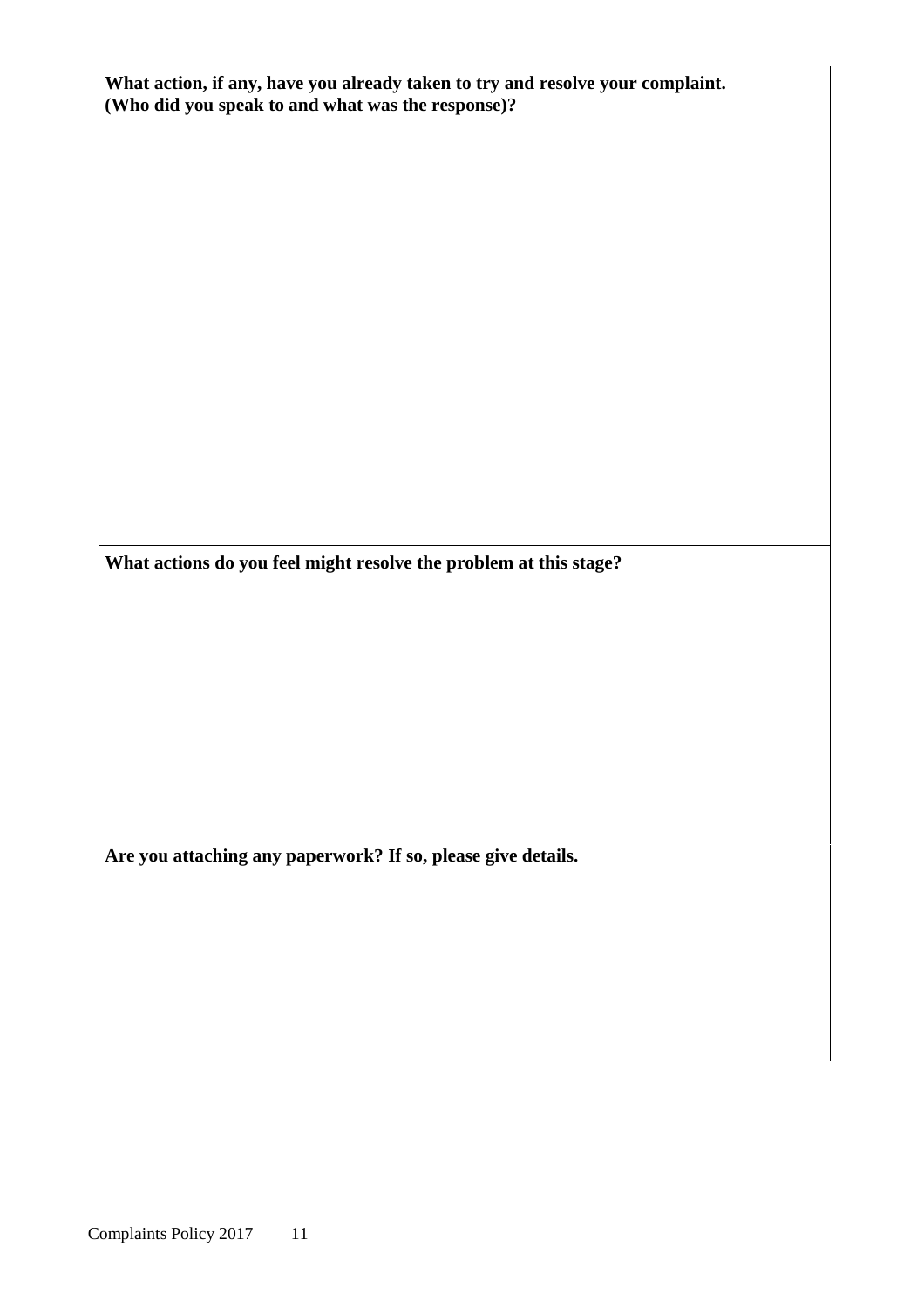| What action, if any, have you already taken to try and resolve your complaint.<br>(Who did you speak to and what was the response)? |  |  |  |  |
|-------------------------------------------------------------------------------------------------------------------------------------|--|--|--|--|
|                                                                                                                                     |  |  |  |  |
|                                                                                                                                     |  |  |  |  |
|                                                                                                                                     |  |  |  |  |
|                                                                                                                                     |  |  |  |  |
|                                                                                                                                     |  |  |  |  |
|                                                                                                                                     |  |  |  |  |
|                                                                                                                                     |  |  |  |  |
| What actions do you feel might resolve the problem at this stage?                                                                   |  |  |  |  |
|                                                                                                                                     |  |  |  |  |
|                                                                                                                                     |  |  |  |  |
|                                                                                                                                     |  |  |  |  |
|                                                                                                                                     |  |  |  |  |
|                                                                                                                                     |  |  |  |  |
| Are you attaching any paperwork? If so, please give details.                                                                        |  |  |  |  |
|                                                                                                                                     |  |  |  |  |
|                                                                                                                                     |  |  |  |  |
|                                                                                                                                     |  |  |  |  |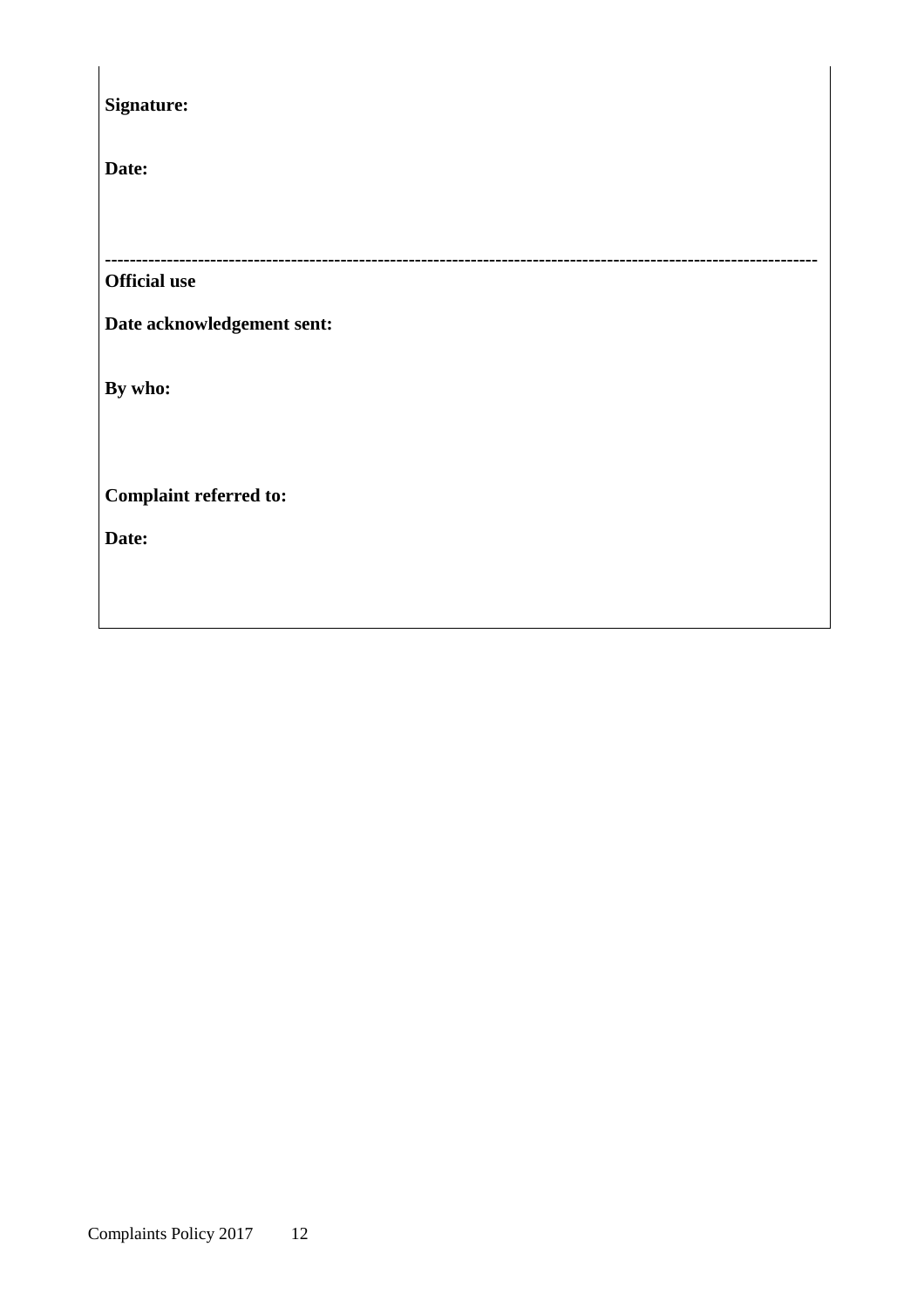| Signature:                    |
|-------------------------------|
| Date:                         |
|                               |
| <b>Official use</b>           |
| Date acknowledgement sent:    |
| By who:                       |
|                               |
| <b>Complaint referred to:</b> |
| Date:                         |
|                               |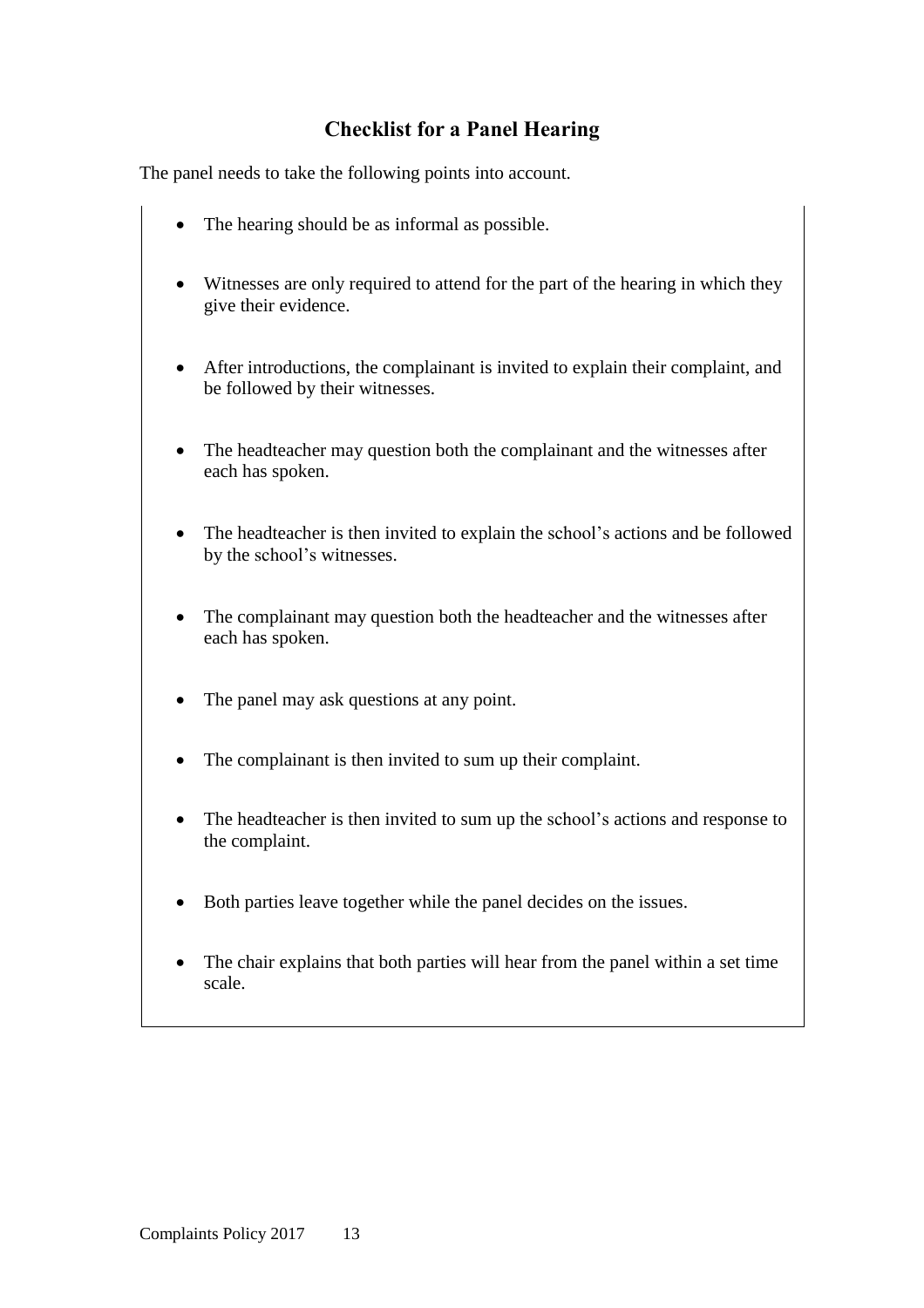### **Checklist for a Panel Hearing**

The panel needs to take the following points into account.

- The hearing should be as informal as possible.
- Witnesses are only required to attend for the part of the hearing in which they give their evidence.
- After introductions, the complainant is invited to explain their complaint, and be followed by their witnesses.
- The headteacher may question both the complainant and the witnesses after each has spoken.
- The headteacher is then invited to explain the school's actions and be followed by the school's witnesses.
- The complainant may question both the headteacher and the witnesses after each has spoken.
- The panel may ask questions at any point.
- The complainant is then invited to sum up their complaint.
- The headteacher is then invited to sum up the school's actions and response to the complaint.
- Both parties leave together while the panel decides on the issues.
- The chair explains that both parties will hear from the panel within a set time scale.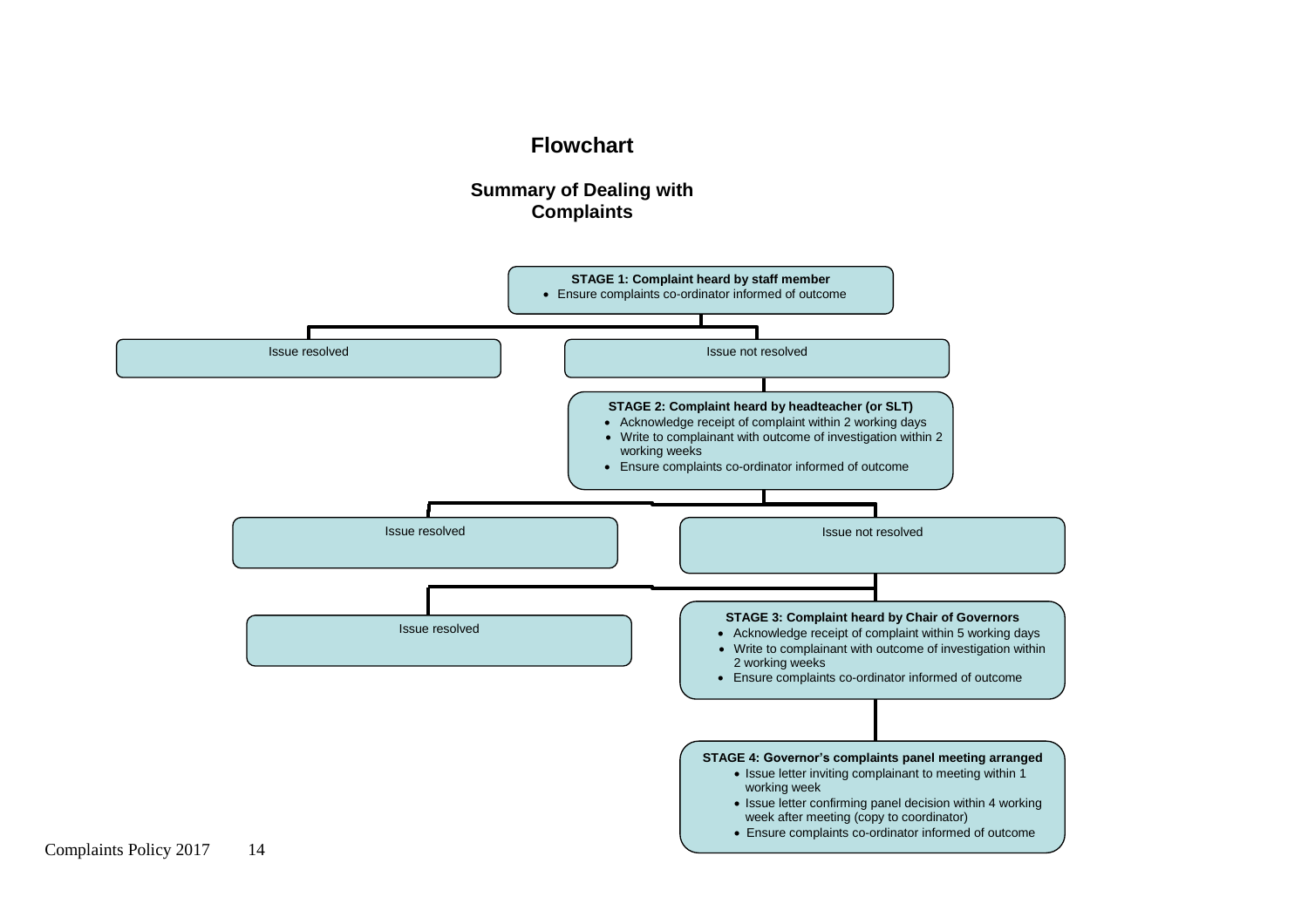